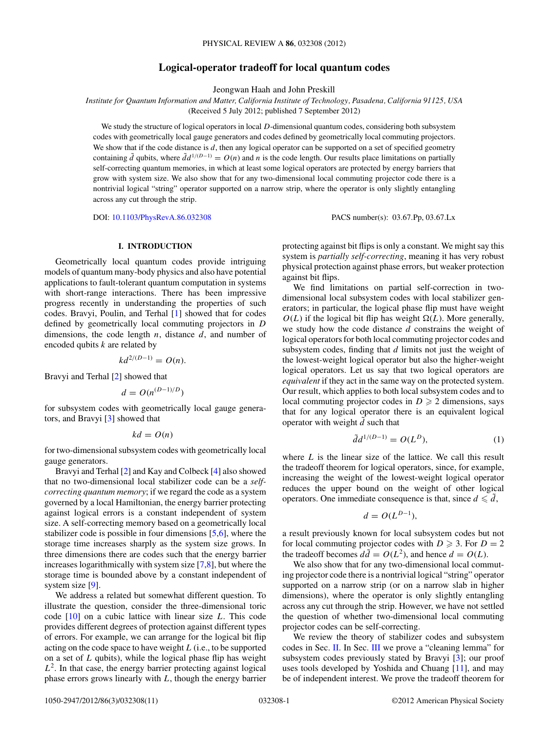# **Logical-operator tradeoff for local quantum codes**

Jeongwan Haah and John Preskill

<span id="page-0-0"></span>*Institute for Quantum Information and Matter, California Institute of Technology, Pasadena, California 91125, USA*

(Received 5 July 2012; published 7 September 2012)

We study the structure of logical operators in local *D*-dimensional quantum codes, considering both subsystem codes with geometrically local gauge generators and codes defined by geometrically local commuting projectors. We show that if the code distance is  $d$ , then any logical operator can be supported on a set of specified geometry containing  $\tilde{d}$  qubits, where  $\tilde{d}d^{1/(D-1)} = O(n)$  and *n* is the code length. Our results place limitations on partially self-correcting quantum memories, in which at least some logical operators are protected by energy barriers that grow with system size. We also show that for any two-dimensional local commuting projector code there is a nontrivial logical "string" operator supported on a narrow strip, where the operator is only slightly entangling across any cut through the strip.

DOI: [10.1103/PhysRevA.86.032308](http://dx.doi.org/10.1103/PhysRevA.86.032308) PACS number(s): 03*.*67*.*Pp, 03*.*67*.*Lx

#### **I. INTRODUCTION**

Geometrically local quantum codes provide intriguing models of quantum many-body physics and also have potential applications to fault-tolerant quantum computation in systems with short-range interactions. There has been impressive progress recently in understanding the properties of such codes. Bravyi, Poulin, and Terhal [\[1\]](#page-10-0) showed that for codes defined by geometrically local commuting projectors in *D* dimensions, the code length *n*, distance *d*, and number of encoded qubits *k* are related by

$$
kd^{2/(D-1)} = O(n).
$$

Bravyi and Terhal [\[2\]](#page-10-0) showed that

$$
d = O(n^{(D-1)/D})
$$

for subsystem codes with geometrically local gauge generators, and Bravyi [\[3\]](#page-10-0) showed that

 $kd = O(n)$ 

for two-dimensional subsystem codes with geometrically local gauge generators.

Bravyi and Terhal [\[2\]](#page-10-0) and Kay and Colbeck [\[4\]](#page-10-0) also showed that no two-dimensional local stabilizer code can be a *selfcorrecting quantum memory*; if we regard the code as a system governed by a local Hamiltonian, the energy barrier protecting against logical errors is a constant independent of system size. A self-correcting memory based on a geometrically local stabilizer code is possible in four dimensions [\[5,6\]](#page-10-0), where the storage time increases sharply as the system size grows. In three dimensions there are codes such that the energy barrier increases logarithmically with system size [\[7,8\]](#page-10-0), but where the storage time is bounded above by a constant independent of system size [\[9\]](#page-10-0).

We address a related but somewhat different question. To illustrate the question, consider the three-dimensional toric code [\[10\]](#page-10-0) on a cubic lattice with linear size *L*. This code provides different degrees of protection against different types of errors. For example, we can arrange for the logical bit flip acting on the code space to have weight *L* (i.e., to be supported on a set of *L* qubits), while the logical phase flip has weight  $L<sup>2</sup>$ . In that case, the energy barrier protecting against logical phase errors grows linearly with *L*, though the energy barrier protecting against bit flips is only a constant. We might say this system is *partially self-correcting*, meaning it has very robust physical protection against phase errors, but weaker protection against bit flips.

We find limitations on partial self-correction in twodimensional local subsystem codes with local stabilizer generators; in particular, the logical phase flip must have weight  $O(L)$  if the logical bit flip has weight  $\Omega(L)$ . More generally, we study how the code distance *d* constrains the weight of logical operators for both local commuting projector codes and subsystem codes, finding that *d* limits not just the weight of the lowest-weight logical operator but also the higher-weight logical operators. Let us say that two logical operators are *equivalent* if they act in the same way on the protected system. Our result, which applies to both local subsystem codes and to local commuting projector codes in  $D \geq 2$  dimensions, says that for any logical operator there is an equivalent logical operator with weight  $\tilde{d}$  such that

$$
\tilde{d}d^{1/(D-1)} = O(L^D),\tag{1}
$$

where *L* is the linear size of the lattice. We call this result the tradeoff theorem for logical operators, since, for example, increasing the weight of the lowest-weight logical operator reduces the upper bound on the weight of other logical operators. One immediate consequence is that, since  $d \leq d$ ,

$$
d = O(L^{D-1}),
$$

a result previously known for local subsystem codes but not for local commuting projector codes with  $D \ge 3$ . For  $D = 2$ the tradeoff becomes  $d\tilde{d} = O(L^2)$ , and hence  $d = O(L)$ .

We also show that for any two-dimensional local commuting projector code there is a nontrivial logical "string" operator supported on a narrow strip (or on a narrow slab in higher dimensions), where the operator is only slightly entangling across any cut through the strip. However, we have not settled the question of whether two-dimensional local commuting projector codes can be self-correcting.

We review the theory of stabilizer codes and subsystem codes in Sec. [II.](#page-1-0) In Sec. [III](#page-1-0) we prove a "cleaning lemma" for subsystem codes previously stated by Bravyi [\[3\]](#page-10-0); our proof uses tools developed by Yoshida and Chuang [\[11\]](#page-10-0), and may be of independent interest. We prove the tradeoff theorem for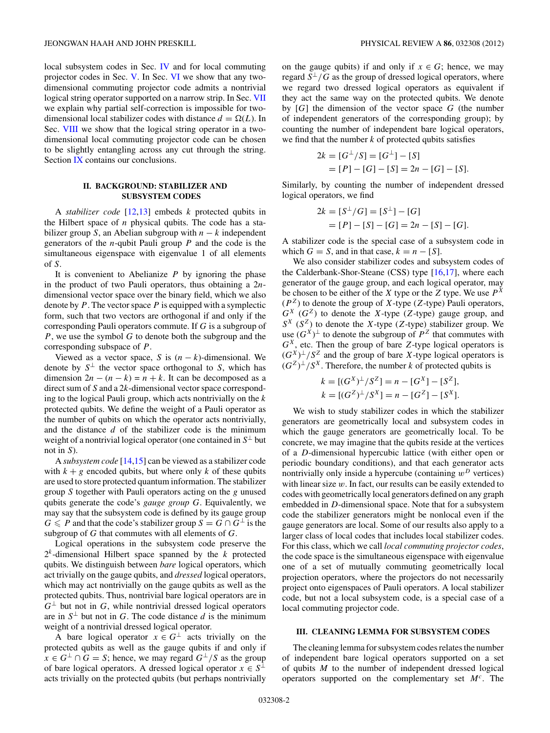<span id="page-1-0"></span>local subsystem codes in Sec. [IV](#page-3-0) and for local commuting projector codes in Sec. [V.](#page-4-0) In Sec. [VI](#page-6-0) we show that any twodimensional commuting projector code admits a nontrivial logical string operator supported on a narrow strip. In Sec. [VII](#page-7-0) we explain why partial self-correction is impossible for twodimensional local stabilizer codes with distance  $d = \Omega(L)$ . In Sec. [VIII](#page-8-0) we show that the logical string operator in a twodimensional local commuting projector code can be chosen to be slightly entangling across any cut through the string. Section [IX](#page-9-0) contains our conclusions.

# **II. BACKGROUND: STABILIZER AND SUBSYSTEM CODES**

A *stabilizer code* [\[12,13\]](#page-10-0) embeds *k* protected qubits in the Hilbert space of *n* physical qubits. The code has a stabilizer group *S*, an Abelian subgroup with *n* − *k* independent generators of the *n*-qubit Pauli group *P* and the code is the simultaneous eigenspace with eigenvalue 1 of all elements of *S*.

It is convenient to Abelianize *P* by ignoring the phase in the product of two Pauli operators, thus obtaining a 2*n*dimensional vector space over the binary field, which we also denote by *P*. The vector space *P* is equipped with a symplectic form, such that two vectors are orthogonal if and only if the corresponding Pauli operators commute. If *G* is a subgroup of *P*, we use the symbol *G* to denote both the subgroup and the corresponding subspace of *P*.

Viewed as a vector space, *S* is  $(n - k)$ -dimensional. We denote by  $S^{\perp}$  the vector space orthogonal to *S*, which has dimension  $2n - (n - k) = n + k$ . It can be decomposed as a direct sum of *S* and a 2*k*-dimensional vector space corresponding to the logical Pauli group, which acts nontrivially on the *k* protected qubits. We define the weight of a Pauli operator as the number of qubits on which the operator acts nontrivially, and the distance *d* of the stabilizer code is the minimum weight of a nontrivial logical operator (one contained in  $S^{\perp}$  but not in *S*).

A *subsystem code* [\[14,15\]](#page-10-0) can be viewed as a stabilizer code with  $k + g$  encoded qubits, but where only k of these qubits are used to store protected quantum information. The stabilizer group *S* together with Pauli operators acting on the *g* unused qubits generate the code's *gauge group G*. Equivalently, we may say that the subsystem code is defined by its gauge group *G* ≤ *P* and that the code's stabilizer group  $S = G \cap G^{\perp}$  is the subgroup of *G* that commutes with all elements of *G*.

Logical operations in the subsystem code preserve the  $2<sup>k</sup>$ -dimensional Hilbert space spanned by the  $k$  protected qubits. We distinguish between *bare* logical operators, which act trivially on the gauge qubits, and *dressed* logical operators, which may act nontrivially on the gauge qubits as well as the protected qubits. Thus, nontrivial bare logical operators are in  $G^{\perp}$  but not in *G*, while nontrivial dressed logical operators are in  $S^{\perp}$  but not in *G*. The code distance *d* is the minimum weight of a nontrivial dressed logical operator.

A bare logical operator  $x \in G^{\perp}$  acts trivially on the protected qubits as well as the gauge qubits if and only if *x* ∈ *G*<sup>⊥</sup> ∩ *G* = *S*; hence, we may regard  $G^{\perp}/S$  as the group of bare logical operators. A dressed logical operator  $x \in S^{\perp}$ acts trivially on the protected qubits (but perhaps nontrivially

on the gauge qubits) if and only if  $x \in G$ ; hence, we may regard  $S^{\perp}/G$  as the group of dressed logical operators, where we regard two dressed logical operators as equivalent if they act the same way on the protected qubits. We denote by [*G*] the dimension of the vector space *G* (the number of independent generators of the corresponding group); by counting the number of independent bare logical operators, we find that the number  $k$  of protected qubits satisfies

$$
2k = [G^{\perp}/S] = [G^{\perp}] - [S]
$$
  
= [P] - [G] - [S] = 2n - [G] - [S].

Similarly, by counting the number of independent dressed logical operators, we find

$$
2k = [S^{\perp}/G] = [S^{\perp}] - [G]
$$
  
= [P] - [S] - [G] = 2n - [S] - [G].

A stabilizer code is the special case of a subsystem code in which  $G = S$ , and in that case,  $k = n - [S]$ .

We also consider stabilizer codes and subsystem codes of the Calderbank-Shor-Steane (CSS) type  $[16,17]$ , where each generator of the gauge group, and each logical operator, may be chosen to be either of the *X* type or the *Z* type. We use  $P^X$  $(P^Z)$  to denote the group of *X*-type (*Z*-type) Pauli operators,  $G^X$  ( $G^Z$ ) to denote the *X*-type (*Z*-type) gauge group, and  $S^X$  ( $S^Z$ ) to denote the *X*-type (*Z*-type) stabilizer group. We use  $(G^X)^{\perp}$  to denote the subgroup of  $P^Z$  that commutes with *GX*, etc. Then the group of bare *Z*-type logical operators is  $(G^X)^{\perp}/S^Z$  and the group of bare *X*-type logical operators is  $(G^Z)^{\perp}/S^X$ . Therefore, the number *k* of protected qubits is

$$
k = [(GX)\perp/SZ] = n - [GX] - [SZ],
$$
  
\n
$$
k = [(GZ)\perp/SX] = n - [GZ] - [SX].
$$

We wish to study stabilizer codes in which the stabilizer generators are geometrically local and subsystem codes in which the gauge generators are geometrically local. To be concrete, we may imagine that the qubits reside at the vertices of a *D*-dimensional hypercubic lattice (with either open or periodic boundary conditions), and that each generator acts nontrivially only inside a hypercube (containing  $w<sup>D</sup>$  vertices) with linear size *w*. In fact, our results can be easily extended to codes with geometrically local generators defined on any graph embedded in *D*-dimensional space. Note that for a subsystem code the stabilizer generators might be nonlocal even if the gauge generators are local. Some of our results also apply to a larger class of local codes that includes local stabilizer codes. For this class, which we call *local commuting projector codes*, the code space is the simultaneous eigenspace with eigenvalue one of a set of mutually commuting geometrically local projection operators, where the projectors do not necessarily project onto eigenspaces of Pauli operators. A local stabilizer code, but not a local subsystem code, is a special case of a local commuting projector code.

#### **III. CLEANING LEMMA FOR SUBSYSTEM CODES**

The cleaning lemma for subsystem codes relates the number of independent bare logical operators supported on a set of qubits *M* to the number of independent dressed logical operators supported on the complementary set *M<sup>c</sup>*. The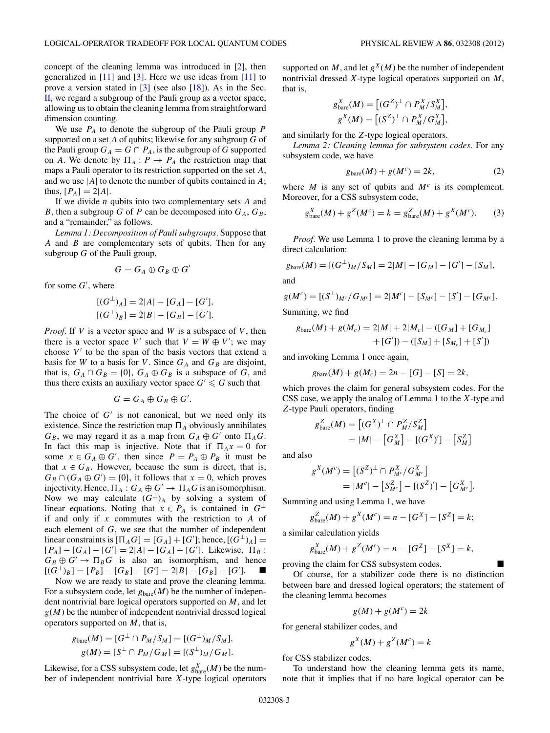concept of the cleaning lemma was introduced in [\[2\]](#page-10-0), then generalized in  $[11]$  and  $[3]$ . Here we use ideas from  $[11]$  to prove a version stated in [\[3\]](#page-10-0) (see also [\[18\]](#page-10-0)). As in the Sec. [II,](#page-1-0) we regard a subgroup of the Pauli group as a vector space, allowing us to obtain the cleaning lemma from straightforward dimension counting.

We use *PA* to denote the subgroup of the Pauli group *P* supported on a set *A* of qubits; likewise for any subgroup *G* of the Pauli group  $G_A = G \cap P_A$ , is the subgroup of *G* supported on *A*. We denote by  $\Pi_A$ :  $P \to P_A$  the restriction map that maps a Pauli operator to its restriction supported on the set *A*, and we use |*A*| to denote the number of qubits contained in *A*; thus,  $[P_A] = 2|A|$ .

If we divide *n* qubits into two complementary sets *A* and *B*, then a subgroup *G* of *P* can be decomposed into  $G_A$ ,  $G_B$ , and a "remainder," as follows.

*Lemma 1: Decomposition of Pauli subgroups.* Suppose that *A* and *B* are complementary sets of qubits. Then for any subgroup *G* of the Pauli group,

$$
G=G_A\oplus G_B\oplus G'
$$

for some *G* , where

$$
[(G^{\perp})_A] = 2|A| - [G_A] - [G'],
$$
  

$$
[(G^{\perp})_B] = 2|B| - [G_B] - [G'].
$$

*Proof.* If *V* is a vector space and *W* is a subspace of *V* , then there is a vector space *V'* such that  $V = W \oplus V'$ ; we may choose  $V'$  to be the span of the basis vectors that extend a basis for *W* to a basis for *V*. Since  $G_A$  and  $G_B$  are disjoint, that is,  $G_A \cap G_B = \{0\}$ ,  $G_A \oplus G_B$  is a subspace of *G*, and thus there exists an auxiliary vector space  $G' \le G$  such that

$$
G=G_A\oplus G_B\oplus G'.
$$

The choice of  $G'$  is not canonical, but we need only its existence. Since the restriction map  $\Pi_A$  obviously annihilates  $G_B$ , we may regard it as a map from  $G_A \oplus G'$  onto  $\Pi_A G$ . In fact this map is injective. Note that if  $\Pi_A x = 0$  for some  $x \in G_A \oplus G'$ , then since  $P = P_A \oplus P_B$  it must be that  $x \in G_B$ . However, because the sum is direct, that is,  $G_B \cap (G_A \oplus G') = \{0\}$ , it follows that  $x = 0$ , which proves injectivity. Hence,  $\Pi_A : G_A \oplus G' \to \Pi_A G$  is an isomorphism. Now we may calculate  $(G^{\perp})_A$  by solving a system of linear equations. Noting that  $x \in P_A$  is contained in  $G^{\perp}$ if and only if *x* commutes with the restriction to *A* of each element of *G*, we see that the number of independent linear constraints is  $[\Pi_A G] = [G_A] + [G']$ ; hence,  $[(G^{\perp})_A] =$  $[P_A] - [G_A] - [G'] = 2|A| - [G_A] - [G']$ . Likewise,  $\Pi_B$ :  $G_B \oplus G' \rightarrow \Pi_B G$  is also an isomorphism, and hence  $[(G^{\perp})_B] = [P_B] - [G_B] - [G'] = 2|B| - [G_B] - [G'].$  ■

Now we are ready to state and prove the cleaning lemma. For a subsystem code, let  $g_{\text{bare}}(M)$  be the number of independent nontrivial bare logical operators supported on *M*, and let  $g(M)$  be the number of independent nontrivial dressed logical operators supported on *M*, that is,

$$
g_{\text{bare}}(M) = [G^{\perp} \cap P_M / S_M] = [(G^{\perp})_M / S_M],
$$
  
 
$$
g(M) = [S^{\perp} \cap P_M / G_M] = [(S^{\perp})_M / G_M].
$$

Likewise, for a CSS subsystem code, let  $g_{\text{bare}}^X(M)$  be the number of independent nontrivial bare *X*-type logical operators supported on *M*, and let  $g^{X}(M)$  be the number of independent nontrivial dressed *X*-type logical operators supported on *M*, that is,

$$
g_{\text{bare}}^X(M) = \left[ (G^Z)^{\perp} \cap P_M^X/S_M^X \right],
$$
  

$$
g^X(M) = \left[ (S^Z)^{\perp} \cap P_M^X/G_M^X \right],
$$

and similarly for the *Z*-type logical operators.

*Lemma 2: Cleaning lemma for subsystem codes.* For any subsystem code, we have

$$
g_{\text{bare}}(M) + g(M^c) = 2k,\tag{2}
$$

where  $M$  is any set of qubits and  $M<sup>c</sup>$  is its complement. Moreover, for a CSS subsystem code,

$$
g_{\text{bare}}^X(M) + g^Z(M^c) = k = g_{\text{bare}}^Z(M) + g^X(M^c). \tag{3}
$$

*Proof.* We use Lemma 1 to prove the cleaning lemma by a direct calculation:

$$
g_{\text{bare}}(M) = [(G^{\perp})_M / S_M] = 2|M| - [G_M] - [G'] - [S_M],
$$

and

$$
g(M^{c}) = [(S^{\perp})_{M^{c}}/G_{M^{c}}] = 2|M^{c}| - [S_{M^{c}}] - [S'] - [G_{M^{c}}].
$$

Summing, we find

$$
g_{\text{bare}}(M) + g(M_c) = 2|M| + 2|M_c| - ([G_M] + [G_M] + [G_M] + [G']) - ([S_M] + [S_M] + [S'])
$$

and invoking Lemma 1 once again,

$$
g_{\text{bare}}(M) + g(M_c) = 2n - [G] - [S] = 2k,
$$

which proves the claim for general subsystem codes. For the CSS case, we apply the analog of Lemma 1 to the *X*-type and *Z*-type Pauli operators, finding

$$
g_{\text{bare}}^Z(M) = \left[ (G^X)^{\perp} \cap P_M^Z / S_M^Z \right]
$$
  
= |M| - \left[ G\_M^X \right] - \left[ (G^X)' \right] - \left[ S\_M^Z \right]

and also

$$
g^{X}(M^{c}) = [(S^{Z})^{\perp} \cap P_{M^{c}}^{X}/G_{M^{c}}^{X}]
$$
  
= |M^{c}| - [S\_{M^{c}}^{Z}] - [(S^{Z})^{\prime}] - [G\_{M^{c}}^{X}].

Summing and using Lemma 1, we have

$$
g_{\text{bare}}^Z(M) + g^X(M^c) = n - [G^X] - [S^Z] = k;
$$

a similar calculation yields

$$
g_{\text{bare}}^X(M) + g^Z(M^c) = n - [G^Z] - [S^X] = k,
$$

proving the claim for CSS subsystem codes.

Of course, for a stabilizer code there is no distinction between bare and dressed logical operators; the statement of the cleaning lemma becomes

$$
g(M) + g(M^c) = 2k
$$

for general stabilizer codes, and

$$
g^X(M) + g^Z(M^c) = k
$$

for CSS stabilizer codes.

To understand how the cleaning lemma gets its name, note that it implies that if no bare logical operator can be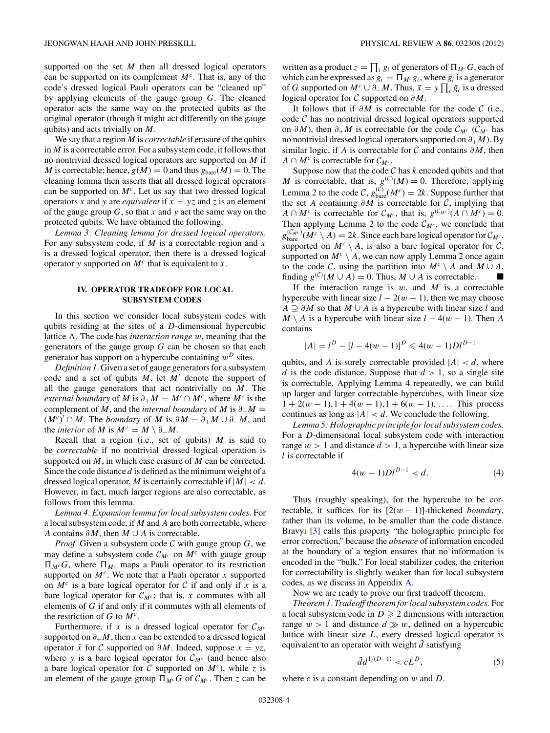<span id="page-3-0"></span>supported on the set *M* then all dressed logical operators can be supported on its complement *M<sup>c</sup>*. That is, any of the code's dressed logical Pauli operators can be "cleaned up" by applying elements of the gauge group *G*. The cleaned operator acts the same way on the protected qubits as the original operator (though it might act differently on the gauge qubits) and acts trivially on *M*.

We say that a region *M* is *correctable* if erasure of the qubits in *M* is a correctable error. For a subsystem code, it follows that no nontrivial dressed logical operators are supported on *M* if *M* is correctable; hence,  $g(M) = 0$  and thus  $g_{\text{bare}}(M) = 0$ . The cleaning lemma then asserts that all dressed logical operators can be supported on *M<sup>c</sup>*. Let us say that two dressed logical operators *x* and *y* are *equivalent* if  $x = yz$  and *z* is an element of the gauge group *G*, so that *x* and *y* act the same way on the protected qubits. We have obtained the following.

*Lemma 3: Cleaning lemma for dressed logical operators.* For any subsystem code, if *M* is a correctable region and *x* is a dressed logical operator, then there is a dressed logical operator *y* supported on *M<sup>c</sup>* that is equivalent to *x*.

### **IV. OPERATOR TRADEOFF FOR LOCAL SUBSYSTEM CODES**

In this section we consider local subsystem codes with qubits residing at the sites of a *D*-dimensional hypercubic lattice  $\Lambda$ . The code has *interaction range w*, meaning that the generators of the gauge group *G* can be chosen so that each generator has support on a hypercube containing *w<sup>D</sup>* sites.

*Definition 1.* Given a set of gauge generators for a subsystem code and a set of qubits *M*, let *M'* denote the support of all the gauge generators that act nontrivially on *M*. The *external boundary* of *M* is  $\partial_+ M = M' \cap M^c$ , where  $M^c$  is the complement of *M*, and the *internal boundary* of *M* is *∂*−*M* =  $(M<sup>c</sup>)' ∩ M$ . The *boundary* of *M* is  $\partial M = \partial_+ M \cup \partial_- M$ , and the *interior* of *M* is  $M^\circ = M \setminus \partial_- M$ .

Recall that a region (i.e., set of qubits) *M* is said to be *correctable* if no nontrivial dressed logical operation is supported on *M*, in which case erasure of *M* can be corrected. Since the code distance *d* is defined as the minimum weight of a dressed logical operator, *M* is certainly correctable if |*M*| *< d*. However, in fact, much larger regions are also correctable, as follows from this lemma.

*Lemma 4. Expansion lemma for local subsystem codes.* For a local subsystem code, if *M* and *A* are both correctable, where *A* contains *∂M*, then *M* ∪ *A* is correctable.

*Proof.* Given a subsystem code C with gauge group *G*, we may define a subsystem code  $\mathcal{C}_{M^c}$  on  $M^c$  with gauge group  $\Pi_{M^c}G$ , where  $\Pi_{M^c}$  maps a Pauli operator to its restriction supported on  $M<sup>c</sup>$ . We note that a Pauli operator *x* supported on  $M^c$  is a bare logical operator for C if and only if x is a bare logical operator for  $C_{M<sup>c</sup>}$ ; that is, x commutes with all elements of *G* if and only if it commutes with all elements of the restriction of  $G$  to  $M^c$ .

Furthermore, if x is a dressed logical operator for  $C_{M<sup>c</sup>}$ supported on  $\partial_+ M$ , then *x* can be extended to a dressed logical operator  $\bar{x}$  for C supported on  $\partial M$ . Indeed, suppose  $x = yz$ , where *y* is a bare logical operator for  $C_{M<sup>c</sup>}$  (and hence also a bare logical operator for C supported on  $M<sup>c</sup>$ ), while *z* is an element of the gauge group  $\Pi_{M^c}G$  of  $\mathcal{C}_{M^c}$ . Then *z* can be written as a product  $z = \prod_i g_i$  of generators of  $\Pi_{M^c} G$ , each of which can be expressed as  $g_i = \prod_{M \in \overline{g}_i}$ , where  $\overline{g}_i$  is a generator of *G* supported on  $M^c \cup \partial M$ . Thus,  $\bar{x} = y \prod_i \bar{g}_i$  is a dressed logical operator for C supported on *∂M*.

It follows that if  $\partial M$  is correctable for the code  $\mathcal C$  (i.e., code  $\mathcal C$  has no nontrivial dressed logical operators supported on  $\partial M$ ), then  $\partial_+ M$  is correctable for the code  $\mathcal{C}_{M^c}$  ( $\mathcal{C}_{M^c}$  has no nontrivial dressed logical operators supported on *∂*+*M*). By similar logic, if *A* is correctable for C and contains *∂M*, then *A* ∩  $M^c$  is correctable for  $C_{M^c}$ .

Suppose now that the code  $C$  has  $k$  encoded qubits and that *M* is correctable, that is,  $g^{(C)}(M) = 0$ . Therefore, applying Lemma 2 to the code  $\mathcal{C}$ ,  $g_{\text{bare}}^{(\mathcal{C})}(M^c) = 2k$ . Suppose further that the set *A* containing *∂M* is correctable for C, implying that *A* ∩ *M<sup>c</sup>* is correctable for  $C_{M<sup>c</sup>}$ , that is,  $g^{(C_{M<sup>c</sup>})}(A ∩ M<sup>c</sup>) = 0$ . Then applying Lemma 2 to the code  $\mathcal{C}_{M^c}$ , we conclude that  $g_{\text{bare}}^{(\mathcal{C}_{M^c})}(M^c \setminus A) = 2k$ . Since each bare logical operator for  $\mathcal{C}_{M^c}$ , supported on  $M^c \setminus A$ , is also a bare logical operator for C, supported on  $M^c \setminus A$ , we can now apply Lemma 2 once again to the code C, using the partition into  $M^c \setminus A$  and  $M \cup A$ , finding  $g^{(C)}(M \cup A) = 0$ . Thus,  $M \cup A$  is correctable.

If the interaction range is  $w$ , and  $M$  is a correctable hypercube with linear size  $l - 2(w - 1)$ , then we may choose *A* ⊇ *∂M* so that *M* ∪ *A* is a hypercube with linear size *l* and *M* \ *A* is a hypercube with linear size  $l - 4(w - 1)$ . Then *A* contains

$$
|A| = l^{D} - [l - 4(w - 1)]^{D} \leq 4(w - 1)Dl^{D-1}
$$

qubits, and *A* is surely correctable provided  $|A| < d$ , where *d* is the code distance. Suppose that  $d > 1$ , so a single site is correctable. Applying Lemma 4 repeatedly, we can build up larger and larger correctable hypercubes, with linear size  $1 + 2(w - 1)$ ,  $1 + 4(w - 1)$ ,  $1 + 6(w - 1)$ , ... This process continues as long as  $|A| < d$ . We conclude the following.

*Lemma 5: Holographic principle for local subsystem codes.* For a *D*-dimensional local subsystem code with interaction range  $w > 1$  and distance  $d > 1$ , a hypercube with linear size *l* is correctable if

$$
4(w-1)Dl^{D-1} < d. \tag{4}
$$

Thus (roughly speaking), for the hypercube to be correctable, it suffices for its  $[2(w - 1)]$ -thickened *boundary*, rather than its volume, to be smaller than the code distance. Bravyi [\[3\]](#page-10-0) calls this property "the holographic principle for error correction," because the *absence* of information encoded at the boundary of a region ensures that no information is encoded in the "bulk." For local stabilizer codes, the criterion for correctability is slightly weaker than for local subsystem codes, as we discuss in Appendix [A.](#page-9-0)

Now we are ready to prove our first tradeoff theorem.

*Theorem 1. Tradeoff theorem for local subsystem codes.* For a local subsystem code in  $D \geq 2$  dimensions with interaction range  $w > 1$  and distance  $d \gg w$ , defined on a hypercubic lattice with linear size *L*, every dressed logical operator is equivalent to an operator with weight  $\tilde{d}$  satisfying

$$
\tilde{d}d^{1/(D-1)} < cL^D,\tag{5}
$$

where *c* is a constant depending on *w* and *D*.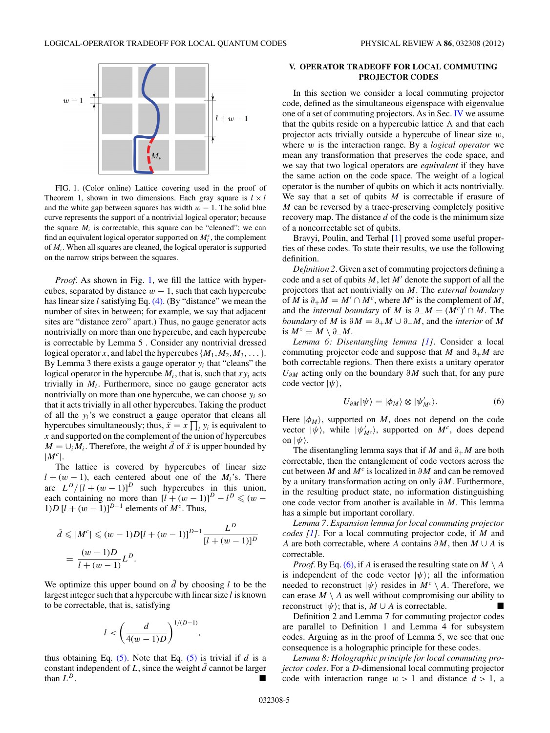<span id="page-4-0"></span>

FIG. 1. (Color online) Lattice covering used in the proof of Theorem 1, shown in two dimensions. Each gray square is  $l \times l$ and the white gap between squares has width  $w - 1$ . The solid blue curve represents the support of a nontrivial logical operator; because the square  $M_i$  is correctable, this square can be "cleaned"; we can find an equivalent logical operator supported on  $M_i^c$ , the complement of *Mi*. When all squares are cleaned, the logical operator is supported on the narrow strips between the squares.

*Proof.* As shown in Fig. 1, we fill the lattice with hypercubes, separated by distance  $w - 1$ , such that each hypercube has linear size *l* satisfying Eq. [\(4\).](#page-3-0) (By "distance" we mean the number of sites in between; for example, we say that adjacent sites are "distance zero" apart.) Thus, no gauge generator acts nontrivially on more than one hypercube, and each hypercube is correctable by Lemma 5 . Consider any nontrivial dressed logical operator *x*, and label the hypercubes  $\{M_1, M_2, M_3, \ldots\}$ . By Lemma 3 there exists a gauge operator  $y_i$  that "cleans" the logical operator in the hypercube  $M_i$ , that is, such that  $xy_i$  acts trivially in  $M_i$ . Furthermore, since no gauge generator acts nontrivially on more than one hypercube, we can choose  $y_i$  so that it acts trivially in all other hypercubes. Taking the product of all the *yi*'s we construct a gauge operator that cleans all hypercubes simultaneously; thus,  $\tilde{x} = x \prod_i y_i$  is equivalent to *x* and supported on the complement of the union of hypercubes  $M = \bigcup_i M_i$ . Therefore, the weight *d* of  $\tilde{x}$  is upper bounded by  $|M^c|$ .

The lattice is covered by hypercubes of linear size  $l + (w - 1)$ , each centered about one of the *M<sub>i</sub>*'s. There are  $L^D/[l + (w - 1)]^D$  such hypercubes in this union, each containing no more than  $[l + (w - 1)]^D - l^D \leq (w - 1)$ 1)*D* [ $l + (w - 1)$ ]<sup>*D*−1</sup> elements of *M<sup>c</sup>*. Thus,

$$
\tilde{d} \le |M^c| \le (w-1)D[l + (w-1)]^{D-1} \frac{L^D}{[l + (w-1)]^D}
$$
  
=  $\frac{(w-1)D}{l + (w-1)}L^D$ .

We optimize this upper bound on  $\tilde{d}$  by choosing *l* to be the largest integer such that a hypercube with linear size *l* is known to be correctable, that is, satisfying

$$
l < \left(\frac{d}{4(w-1)D}\right)^{1/(D-1)}
$$

*,*

thus obtaining Eq.  $(5)$ . Note that Eq.  $(5)$  is trivial if *d* is a constant independent of  $L$ , since the weight  $\tilde{d}$  cannot be larger than *L<sup>D</sup>*.

# **V. OPERATOR TRADEOFF FOR LOCAL COMMUTING PROJECTOR CODES**

In this section we consider a local commuting projector code, defined as the simultaneous eigenspace with eigenvalue one of a set of commuting projectors. As in Sec. [IV](#page-3-0) we assume that the qubits reside on a hypercubic lattice  $\Lambda$  and that each projector acts trivially outside a hypercube of linear size *w*, where *w* is the interaction range. By a *logical operator* we mean any transformation that preserves the code space, and we say that two logical operators are *equivalent* if they have the same action on the code space. The weight of a logical operator is the number of qubits on which it acts nontrivially. We say that a set of qubits *M* is correctable if erasure of *M* can be reversed by a trace-preserving completely positive recovery map. The distance *d* of the code is the minimum size of a noncorrectable set of qubits.

Bravyi, Poulin, and Terhal [\[1\]](#page-10-0) proved some useful properties of these codes. To state their results, we use the following definition.

*Definition 2.* Given a set of commuting projectors defining a code and a set of qubits  $M$ , let  $M'$  denote the support of all the projectors that act nontrivially on *M*. The *external boundary* of *M* is  $\partial_+ M = M' \cap M^c$ , where  $M^c$  is the complement of *M*, and the *internal boundary* of *M* is  $\partial_- M = (M^c)' \cap M$ . The *boundary* of *M* is  $\partial M = \partial_+ M \cup \partial_- M$ , and the *interior* of *M* is *M*◦ = *M* \ *∂*−*M*.

*Lemma 6: Disentangling lemma [\[1\]](#page-10-0)*. Consider a local commuting projector code and suppose that *M* and *∂*+*M* are both correctable regions. Then there exists a unitary operator *U∂M* acting only on the boundary *∂M* such that, for any pure code vector  $|\psi\rangle$ ,

$$
U_{\partial M}|\psi\rangle = |\phi_M\rangle \otimes |\psi'_{M^c}\rangle. \tag{6}
$$

Here  $|\phi_M\rangle$ , supported on *M*, does not depend on the code vector  $|\psi\rangle$ , while  $|\psi'_{Mc}\rangle$ , supported on  $M^c$ , does depend on  $|\psi\rangle$ .

The disentangling lemma says that if *M* and  $\partial_+ M$  are both correctable, then the entanglement of code vectors across the cut between *M* and *M<sup>c</sup>* is localized in *∂M* and can be removed by a unitary transformation acting on only *∂M*. Furthermore, in the resulting product state, no information distinguishing one code vector from another is available in *M*. This lemma has a simple but important corollary.

*Lemma 7. Expansion lemma for local commuting projector codes [\[1\]](#page-10-0).* For a local commuting projector code, if *M* and *A* are both correctable, where *A* contains *∂M*, then *M* ∪ *A* is correctable.

*Proof.* By Eq. (6), if *A* is erased the resulting state on  $M \setminus A$ is independent of the code vector  $|\psi\rangle$ ; all the information needed to reconstruct  $|\psi\rangle$  resides in  $M^c \setminus A$ . Therefore, we can erase  $M \setminus A$  as well without compromising our ability to reconstruct  $|\psi\rangle$ ; that is, *M* ∪ *A* is correctable.

Definition 2 and Lemma 7 for commuting projector codes are parallel to Definition 1 and Lemma 4 for subsystem codes. Arguing as in the proof of Lemma 5, we see that one consequence is a holographic principle for these codes.

*Lemma 8: Holographic principle for local commuting projector codes.* For a *D*-dimensional local commuting projector code with interaction range  $w > 1$  and distance  $d > 1$ , a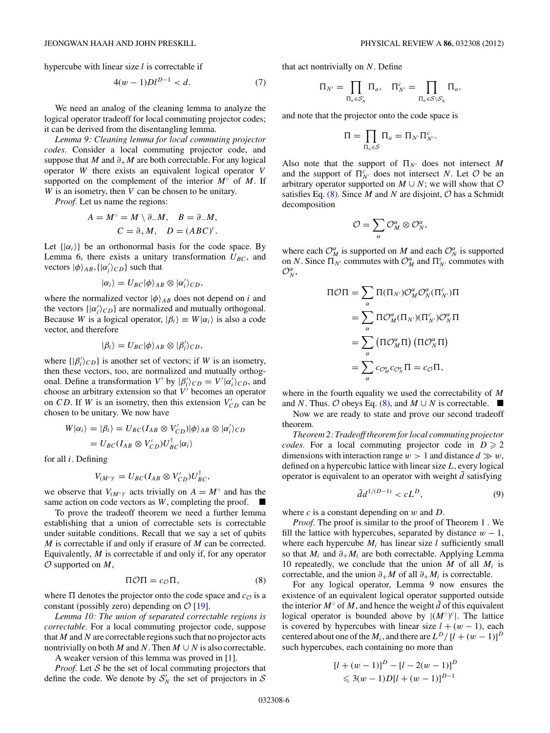<span id="page-5-0"></span>hypercube with linear size *l* is correctable if

$$
4(w-1)Dl^{D-1} < d. \tag{7}
$$

We need an analog of the cleaning lemma to analyze the logical operator tradeoff for local commuting projector codes; it can be derived from the disentangling lemma.

*Lemma 9: Cleaning lemma for local commuting projector codes.* Consider a local commuting projector code, and suppose that *M* and  $\partial_+M$  are both correctable. For any logical operator *W* there exists an equivalent logical operator *V* supported on the complement of the interior *M*◦ of *M*. If *W* is an isometry, then *V* can be chosen to be unitary.

*Proof.* Let us name the regions:

$$
A = M^{\circ} = M \setminus \partial_{-} M, \quad B = \partial_{-} M,
$$
  

$$
C = \partial_{+} M, \quad D = (ABC)^{c}.
$$

Let  $\{|\alpha_i\rangle\}$  be an orthonormal basis for the code space. By Lemma 6, there exists a unitary transformation  $U_{BC}$ , and vectors  $|\phi\rangle_{AB}$ ,  $\{|\alpha'_i\rangle_{CD}\}$  such that

$$
|\alpha_i\rangle = U_{BC}|\phi\rangle_{AB} \otimes |\alpha'_i\rangle_{CD},
$$

where the normalized vector  $|\phi\rangle_{AB}$  does not depend on *i* and the vectors  $\{ |\alpha'_i\rangle_{CD} \}$  are normalized and mutually orthogonal. Because *W* is a logical operator,  $|\beta_i\rangle \equiv W|\alpha_i\rangle$  is also a code vector, and therefore

$$
|\beta_i\rangle = U_{BC}|\phi\rangle_{AB} \otimes |\beta'_i\rangle_{CD},
$$

where  $\{ | \beta_i' \rangle_{CD} \}$  is another set of vectors; if *W* is an isometry, then these vectors, too, are normalized and mutually orthogonal. Define a transformation *V'* by  $|\beta'_i\rangle_{CD} = V'|\alpha'_i\rangle_{CD}$ , and choose an arbitrary extension so that  $V'$  becomes an operator on *CD*. If *W* is an isometry, then this extension  $V_{CD}$  can be chosen to be unitary. We now have

$$
W|\alpha_i\rangle = |\beta_i\rangle = U_{BC}(I_{AB} \otimes V'_{CD})|\phi\rangle_{AB} \otimes |\alpha'_i\rangle_{CD}
$$
  
= 
$$
U_{BC}(I_{AB} \otimes V'_{CD})U_{BC}^{\dagger}|\alpha_i\rangle
$$

for all *i*. Defining

$$
V_{(M^{\circ})^c} = U_{BC}(I_{AB} \otimes V'_{CD})U_{BC}^{\dagger},
$$

we observe that  $V_{(M^{\circ})^c}$  acts trivially on  $A = M^{\circ}$  and has the same action on code vectors as  $W$ , completing the proof.  $\blacksquare$ 

To prove the tradeoff theorem we need a further lemma establishing that a union of correctable sets is correctable under suitable conditions. Recall that we say a set of qubits *M* is correctable if and only if erasure of *M* can be corrected. Equivalently, *M* is correctable if and only if, for any operator O supported on *M*,

$$
\Pi \mathcal{O} \Pi = c_{\mathcal{O}} \Pi,\tag{8}
$$

where  $\Pi$  denotes the projector onto the code space and  $c_{\mathcal{O}}$  is a constant (possibly zero) depending on  $\mathcal{O}$  [\[19\]](#page-10-0).

*Lemma 10: The union of separated correctable regions is correctable.* For a local commuting projector code, suppose that *M* and *N* are correctable regions such that no projector acts nontrivially on both *M* and *N*. Then  $M \cup N$  is also correctable.

A weaker version of this lemma was proved in [\[1\]](#page-10-0).

*Proof.* Let  $S$  be the set of local commuting projectors that define the code. We denote by  $S'_{N}$  the set of projectors in S

that act nontrivially on *N*. Define

$$
\Pi_{N'} = \prod_{\Pi_a \in \mathcal{S}'_N} \Pi_a, \quad \Pi_{N'}^c = \prod_{\Pi_a \in \mathcal{S} \setminus \mathcal{S}'_N} \Pi_a,
$$

and note that the projector onto the code space is

$$
\Pi = \prod_{\Pi_a \in \mathcal{S}} \Pi_a = \Pi_{N'} \Pi_{N'}^c.
$$

Also note that the support of  $\Pi_{N'}$  does not intersect M and the support of  $\prod_{N'}^{c}$  does not intersect *N*. Let *O* be an arbitrary operator supported on  $M \cup N$ ; we will show that  $O$ satisfies Eq.  $(8)$ . Since *M* and *N* are disjoint, *O* has a Schmidt decomposition

$$
\mathcal{O}=\sum_{\alpha}\mathcal{O}_{M}^{\alpha}\otimes\mathcal{O}_{N}^{\alpha},
$$

where each  $\mathcal{O}_{M}^{\alpha}$  is supported on *M* and each  $\mathcal{O}_{N}^{\alpha}$  is supported on *N*. Since  $\Pi_{N'}$  commutes with  $\mathcal{O}_{M}^{\alpha}$  and  $\Pi_{N'}^c$  commutes with  $\mathcal{O}_N^{\alpha}$ 

$$
\Pi \mathcal{O} \Pi = \sum_{\alpha} \Pi(\Pi_{N'}) \mathcal{O}_{M}^{\alpha} \mathcal{O}_{N}^{\alpha} (\Pi_{N'}^c) \Pi
$$
  
= 
$$
\sum_{\alpha} \Pi \mathcal{O}_{M}^{\alpha} (\Pi_{N'}) (\Pi_{N'}^c) \mathcal{O}_{N}^{\alpha} \Pi
$$
  
= 
$$
\sum_{\alpha} (\Pi \mathcal{O}_{M}^{\alpha} \Pi) (\Pi \mathcal{O}_{N}^{\alpha} \Pi)
$$
  
= 
$$
\sum_{\alpha} c_{\mathcal{O}_{M}^{\alpha}} c_{\mathcal{O}_{N}^{\alpha}} \Pi = c_{\mathcal{O}} \Pi,
$$

where in the fourth equality we used the correctability of *M* and *N*. Thus.  $\emptyset$  obeys Eq. (8), and  $M \cup N$  is correctable. ■

Now we are ready to state and prove our second tradeoff theorem.

*Theorem 2: Tradeoff theorem for local commuting projector codes.* For a local commuting projector code in  $D \ge 2$ dimensions with interaction range  $w > 1$  and distance  $d \gg w$ , defined on a hypercubic lattice with linear size *L*, every logical operator is equivalent to an operator with weight  $\tilde{d}$  satisfying

$$
\tilde{d}d^{1/(D-1)} < cL^D,\tag{9}
$$

where *c* is a constant depending on *w* and *D*.

*Proof.* The proof is similar to the proof of Theorem 1 . We fill the lattice with hypercubes, separated by distance  $w - 1$ , where each hypercube  $M_i$  has linear size  $l$  sufficiently small so that  $M_i$  and  $\partial_+ M_i$  are both correctable. Applying Lemma 10 repeatedly, we conclude that the union  $M$  of all  $M_i$  is correctable, and the union  $\partial_+ M$  of all  $\partial_+ M_i$  is correctable.

For any logical operator, Lemma 9 now ensures the existence of an equivalent logical operator supported outside the interior  $M^\circ$  of M, and hence the weight  $\tilde{d}$  of this equivalent logical operator is bounded above by  $|(M^{\circ})^c|$ . The lattice is covered by hypercubes with linear size  $l + (w - 1)$ , each centered about one of the  $M_i$ , and there are  $L^D/[l + (w - 1)]^D$ such hypercubes, each containing no more than

$$
[l + (w - 1)]^{D} - [l - 2(w - 1)]^{D}
$$
  
\$\leq 3(w - 1)D[l + (w - 1)]^{D-1}\$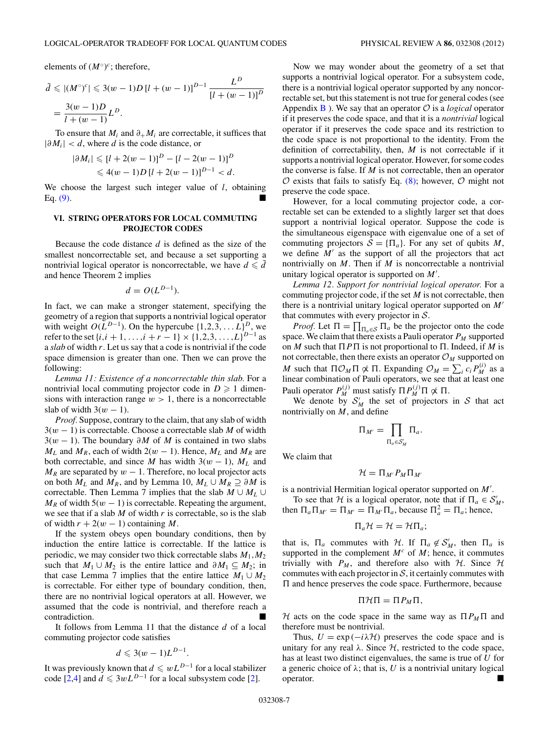<span id="page-6-0"></span>elements of  $(M^{\circ})^c$ ; therefore,

$$
\tilde{d} \le |(M^{\circ})^c| \le 3(w-1)D[l + (w-1)]^{D-1} \frac{L^D}{[l + (w-1)]^D}
$$
  
=  $\frac{3(w-1)D}{l + (w-1)}L^D$ .

To ensure that  $M_i$  and  $\partial_+ M_i$  are correctable, it suffices that |*∂Mi*| *< d*, where *d* is the code distance, or

$$
|\partial M_i| \le [l + 2(w - 1)]^D - [l - 2(w - 1)]^D
$$
  

$$
\le 4(w - 1)D[l + 2(w - 1)]^{D-1} < d.
$$

We choose the largest such integer value of *l*, obtaining Eq.  $(9)$ .

# **VI. STRING OPERATORS FOR LOCAL COMMUTING PROJECTOR CODES**

Because the code distance *d* is defined as the size of the smallest noncorrectable set, and because a set supporting a nontrivial logical operator is noncorrectable, we have  $d \le d$ and hence Theorem 2 implies

$$
d = O(L^{D-1}).
$$

In fact, we can make a stronger statement, specifying the geometry of a region that supports a nontrivial logical operator with weight  $O(L^{D-1})$ . On the hypercube  $\{1,2,3,\ldots L\}^D$ , we refer to the set  $\{i, i + 1, \ldots, i + r - 1\} \times \{1, 2, 3, \ldots, L\}^{D-1}$  as a *slab* of width *r*. Let us say that a code is nontrivial if the code space dimension is greater than one. Then we can prove the following:

*Lemma 11: Existence of a noncorrectable thin slab.* For a nontrivial local commuting projector code in  $D \geq 1$  dimensions with interaction range  $w > 1$ , there is a noncorrectable slab of width  $3(w - 1)$ .

*Proof.* Suppose, contrary to the claim, that any slab of width 3(*w* − 1) is correctable. Choose a correctable slab *M* of width 3(*w* − 1). The boundary *∂M* of *M* is contained in two slabs *M*<sub>*L*</sub> and *M*<sub>*R*</sub>, each of width 2( $w - 1$ ). Hence, *M*<sub>*L*</sub> and *M*<sub>*R*</sub> are both correctable, and since *M* has width  $3(w - 1)$ ,  $M<sub>L</sub>$  and  $M_R$  are separated by  $w - 1$ . Therefore, no local projector acts on both  $M_L$  and  $M_R$ , and by Lemma 10,  $M_L \cup M_R \supseteq \partial M$  is correctable. Then Lemma 7 implies that the slab  $M \cup M_L \cup$  $M_R$  of width 5( $w - 1$ ) is correctable. Repeating the argument, we see that if a slab *M* of width *r* is correctable, so is the slab of width  $r + 2(w - 1)$  containing *M*.

If the system obeys open boundary conditions, then by induction the entire lattice is correctable. If the lattice is periodic, we may consider two thick correctable slabs *M*1*,M*<sup>2</sup> such that  $M_1 \cup M_2$  is the entire lattice and  $\partial M_1 \subseteq M_2$ ; in that case Lemma 7 implies that the entire lattice  $M_1 \cup M_2$ is correctable. For either type of boundary condition, then, there are no nontrivial logical operators at all. However, we assumed that the code is nontrivial, and therefore reach a contradiction.

It follows from Lemma 11 that the distance *d* of a local commuting projector code satisfies

$$
d\leqslant 3(w-1)L^{D-1}.
$$

It was previously known that  $d \leq wL^{D-1}$  for a local stabilizer code  $\left[2, 4\right]$  and  $d \leq 3wL^{D-1}$  for a local subsystem code [\[2\]](#page-10-0).

Now we may wonder about the geometry of a set that supports a nontrivial logical operator. For a subsystem code, there is a nontrivial logical operator supported by any noncorrectable set, but this statement is not true for general codes (see Appendix  $\bf{B}$  $\bf{B}$  $\bf{B}$  ). We say that an operator  $\cal{O}$  is a *logical* operator if it preserves the code space, and that it is a *nontrivial* logical operator if it preserves the code space and its restriction to the code space is not proportional to the identity. From the definition of correctability, then, *M* is not correctable if it supports a nontrivial logical operator. However, for some codes the converse is false. If *M* is not correctable, then an operator  $\mathcal O$  exists that fails to satisfy Eq. [\(8\);](#page-5-0) however,  $\mathcal O$  might not preserve the code space.

However, for a local commuting projector code, a correctable set can be extended to a slightly larger set that does support a nontrivial logical operator. Suppose the code is the simultaneous eigenspace with eigenvalue one of a set of commuting projectors  $S = {\Pi_a}$ . For any set of qubits *M*, we define  $M'$  as the support of all the projectors that act nontrivially on *M*. Then if *M* is noncorrectable a nontrivial unitary logical operator is supported on *M* .

*Lemma 12. Support for nontrivial logical operator.* For a commuting projector code, if the set *M* is not correctable, then there is a nontrivial unitary logical operator supported on *M* that commutes with every projector in  $S$ .

*Proof.* Let  $\Pi = \prod_{\Pi_a \in \mathcal{S}} \Pi_a$  be the projector onto the code space. We claim that there exists a Pauli operator  $P_M$  supported on *M* such that  $\Pi P \Pi$  is not proportional to  $\Pi$ . Indeed, if *M* is not correctable, then there exists an operator  $\mathcal{O}_M$  supported on *M* such that  $\Pi \mathcal{O}_M \Pi \not\propto \Pi$ . Expanding  $\mathcal{O}_M = \sum_i c_i P_M^{(i)}$  as a linear combination of Pauli operators, we see that at least one Pauli operator  $P_M^{(j)}$  must satisfy  $\Pi P_M^{(j)} \Pi \not\propto \Pi$ .

We denote by  $S'_M$  the set of projectors in S that act nontrivially on *M*, and define

$$
\Pi_{M'}=\prod_{\Pi_a\in\mathcal{S}'_M}\Pi_a.
$$

We claim that

$$
\mathcal{H}=\Pi_{M'}P_M\Pi_{M'}
$$

is a nontrivial Hermitian logical operator supported on *M* .

To see that *H* is a logical operator, note that if  $\Pi_a \in S'_M$ , then  $\Pi_a \Pi_{M'} = \Pi_{M'} = \Pi_{M'} \Pi_a$ , because  $\Pi_a^2 = \Pi_a$ ; hence,

$$
\Pi_a \mathcal{H} = \mathcal{H} = \mathcal{H} \Pi_a;
$$

that is,  $\Pi_a$  commutes with *H*. If  $\Pi_a \notin S'_M$ , then  $\Pi_a$  is supported in the complement  $M^c$  of  $M$ ; hence, it commutes trivially with  $P_M$ , and therefore also with  $H$ . Since  $H$ commutes with each projector in  $S$ , it certainly commutes with  $\Pi$  and hence preserves the code space. Furthermore, because

$$
\Pi \mathcal{H} \Pi = \Pi P_M \Pi,
$$

H acts on the code space in the same way as  $\Pi P_M \Pi$  and therefore must be nontrivial.

Thus,  $U = \exp(-i\lambda \mathcal{H})$  preserves the code space and is unitary for any real  $\lambda$ . Since  $H$ , restricted to the code space, has at least two distinct eigenvalues, the same is true of *U* for a generic choice of  $\lambda$ ; that is, U is a nontrivial unitary logical operator.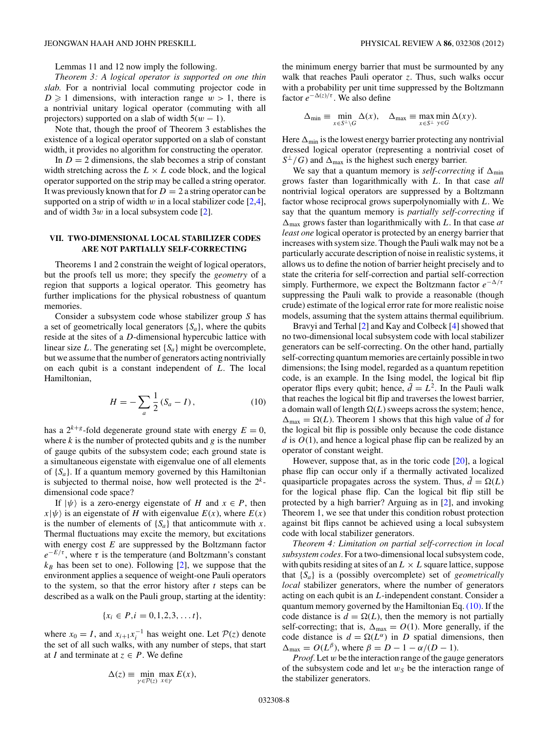<span id="page-7-0"></span>Lemmas 11 and 12 now imply the following.

*Theorem 3: A logical operator is supported on one thin slab.* For a nontrivial local commuting projector code in  $D \geq 1$  dimensions, with interaction range  $w > 1$ , there is a nontrivial unitary logical operator (commuting with all projectors) supported on a slab of width  $5(w - 1)$ .

Note that, though the proof of Theorem 3 establishes the existence of a logical operator supported on a slab of constant width, it provides no algorithm for constructing the operator.

In  $D = 2$  dimensions, the slab becomes a strip of constant width stretching across the  $L \times L$  code block, and the logical operator supported on the strip may be called a string operator. It was previously known that for  $D = 2a$  string operator can be supported on a strip of width  $w$  in a local stabilizer code  $[2,4]$ , and of width 3*w* in a local subsystem code [\[2\]](#page-10-0).

### **VII. TWO-DIMENSIONAL LOCAL STABILIZER CODES ARE NOT PARTIALLY SELF-CORRECTING**

Theorems 1 and 2 constrain the weight of logical operators, but the proofs tell us more; they specify the *geometry* of a region that supports a logical operator. This geometry has further implications for the physical robustness of quantum memories.

Consider a subsystem code whose stabilizer group *S* has a set of geometrically local generators  $\{S_a\}$ , where the qubits reside at the sites of a *D*-dimensional hypercubic lattice with linear size *L*. The generating set {*Sa*} might be overcomplete, but we assume that the number of generators acting nontrivially on each qubit is a constant independent of *L*. The local Hamiltonian,

$$
H = -\sum_{a} \frac{1}{2} (S_a - I), \tag{10}
$$

has a  $2^{k+g}$ -fold degenerate ground state with energy  $E = 0$ , where  $k$  is the number of protected qubits and  $g$  is the number of gauge qubits of the subsystem code; each ground state is a simultaneous eigenstate with eigenvalue one of all elements of  $\{S_a\}$ . If a quantum memory governed by this Hamiltonian is subjected to thermal noise, how well protected is the  $2<sup>k</sup>$ dimensional code space?

If  $|\psi\rangle$  is a zero-energy eigenstate of *H* and  $x \in P$ , then  $x|\psi\rangle$  is an eigenstate of *H* with eigenvalue  $E(x)$ , where  $E(x)$ is the number of elements of  $\{S_a\}$  that anticommute with *x*. Thermal fluctuations may excite the memory, but excitations with energy cost *E* are suppressed by the Boltzmann factor  $e^{-E/\tau}$ , where  $\tau$  is the temperature (and Boltzmann's constant  $k_B$  has been set to one). Following [\[2\]](#page-10-0), we suppose that the environment applies a sequence of weight-one Pauli operators to the system, so that the error history after *t* steps can be described as a walk on the Pauli group, starting at the identity:

$$
\{x_i \in P, i = 0, 1, 2, 3, \ldots t\},\
$$

where  $x_0 = I$ , and  $x_{i+1}x_i^{-1}$  has weight one. Let  $P(z)$  denote the set of all such walks, with any number of steps, that start at *I* and terminate at  $z \in P$ . We define

$$
\Delta(z) \equiv \min_{\gamma \in \mathcal{P}(z)} \max_{x \in \gamma} E(x),
$$

the minimum energy barrier that must be surmounted by any walk that reaches Pauli operator *z*. Thus, such walks occur with a probability per unit time suppressed by the Boltzmann factor  $e^{-\Delta(z)/\tau}$ . We also define

$$
\Delta_{\min} \equiv \min_{x \in S^{\perp} \backslash G} \Delta(x), \quad \Delta_{\max} \equiv \max_{x \in S^{\perp}} \min_{y \in G} \Delta(xy).
$$

Here  $\Delta_{\text{min}}$  is the lowest energy barrier protecting any nontrivial dressed logical operator (representing a nontrivial coset of  $S^{\perp}/G$  and  $\Delta_{\text{max}}$  is the highest such energy barrier.

We say that a quantum memory is *self-correcting* if  $\Delta_{min}$ grows faster than logarithmically with *L*. In that case *all* nontrivial logical operators are suppressed by a Boltzmann factor whose reciprocal grows superpolynomially with *L*. We say that the quantum memory is *partially self-correcting* if  $\Delta_{\text{max}}$  grows faster than logarithmically with *L*. In that case *at least one* logical operator is protected by an energy barrier that increases with system size. Though the Pauli walk may not be a particularly accurate description of noise in realistic systems, it allows us to define the notion of barrier height precisely and to state the criteria for self-correction and partial self-correction simply. Furthermore, we expect the Boltzmann factor *e*−*/τ* suppressing the Pauli walk to provide a reasonable (though crude) estimate of the logical error rate for more realistic noise models, assuming that the system attains thermal equilibrium.

Bravyi and Terhal [\[2\]](#page-10-0) and Kay and Colbeck [\[4\]](#page-10-0) showed that no two-dimensional local subsystem code with local stabilizer generators can be self-correcting. On the other hand, partially self-correcting quantum memories are certainly possible in two dimensions; the Ising model, regarded as a quantum repetition code, is an example. In the Ising model, the logical bit flip operator flips every qubit; hence,  $\tilde{d} = L^2$ . In the Pauli walk that reaches the logical bit flip and traverses the lowest barrier, a domain wall of length  $\Omega(L)$  sweeps across the system; hence,  $\Delta_{\text{max}} = \Omega(L)$ . Theorem 1 shows that this high value of  $\tilde{d}$  for the logical bit flip is possible only because the code distance *d* is *O*(1), and hence a logical phase flip can be realized by an operator of constant weight.

However, suppose that, as in the toric code [\[20\]](#page-10-0), a logical phase flip can occur only if a thermally activated localized quasiparticle propagates across the system. Thus,  $\tilde{d} = \Omega(L)$ for the logical phase flip. Can the logical bit flip still be protected by a high barrier? Arguing as in [\[2\]](#page-10-0), and invoking Theorem 1, we see that under this condition robust protection against bit flips cannot be achieved using a local subsystem code with local stabilizer generators.

*Theorem 4: Limitation on partial self-correction in local subsystem codes.* For a two-dimensional local subsystem code, with qubits residing at sites of an  $L \times L$  square lattice, suppose that {*Sa*} is a (possibly overcomplete) set of *geometrically local* stabilizer generators, where the number of generators acting on each qubit is an *L*-independent constant. Consider a quantum memory governed by the Hamiltonian Eq.  $(10)$ . If the code distance is  $d = \Omega(L)$ , then the memory is not partially self-correcting; that is,  $\Delta_{\text{max}} = O(1)$ . More generally, if the code distance is  $d = \Omega(L^{\alpha})$  in *D* spatial dimensions, then  $\Delta_{\text{max}} = O(L^{\beta})$ , where  $\beta = D - 1 - \alpha/(D - 1)$ .

*Proof.* Let *w* be the interaction range of the gauge generators of the subsystem code and let  $w<sub>S</sub>$  be the interaction range of the stabilizer generators.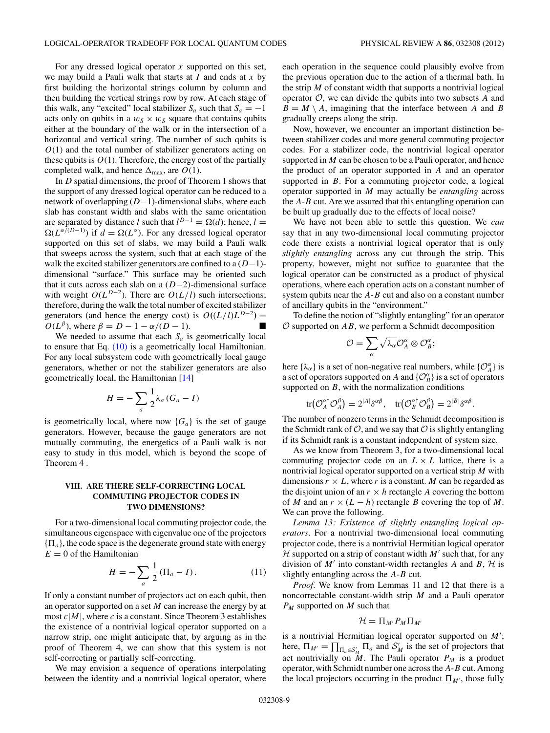<span id="page-8-0"></span>For any dressed logical operator *x* supported on this set, we may build a Pauli walk that starts at *I* and ends at *x* by first building the horizontal strings column by column and then building the vertical strings row by row. At each stage of this walk, any "excited" local stabilizer  $S_a$  such that  $S_a = -1$ acts only on qubits in a  $w_S \times w_S$  square that contains qubits either at the boundary of the walk or in the intersection of a horizontal and vertical string. The number of such qubits is *O*(1) and the total number of stabilizer generators acting on these qubits is  $O(1)$ . Therefore, the energy cost of the partially completed walk, and hence  $\Delta_{\text{max}}$ , are  $O(1)$ .

In *D* spatial dimensions, the proof of Theorem 1 shows that the support of any dressed logical operator can be reduced to a network of overlapping (*D*−1)-dimensional slabs, where each slab has constant width and slabs with the same orientation are separated by distance *l* such that  $l^{D-1} = \Omega(d)$ ; hence,  $l =$  $\Omega(L^{\alpha/(D-1)})$  if  $d = \Omega(L^{\alpha})$ . For any dressed logical operator supported on this set of slabs, we may build a Pauli walk that sweeps across the system, such that at each stage of the walk the excited stabilizer generators are confined to a (*D*−1) dimensional "surface." This surface may be oriented such that it cuts across each slab on a (*D*−2)-dimensional surface with weight  $O(L^{D-2})$ . There are  $O(L/l)$  such intersections; therefore, during the walk the total number of excited stabilizer generators (and hence the energy cost) is  $O((L/l)L^{D-2})$  =  $O(L^{\beta})$ , where  $\beta = D - 1 - \alpha/(D - 1)$ .

We needed to assume that each  $S_a$  is geometrically local to ensure that Eq. [\(10\)](#page-7-0) is a geometrically local Hamiltonian. For any local subsystem code with geometrically local gauge generators, whether or not the stabilizer generators are also geometrically local, the Hamiltonian [\[14\]](#page-10-0)

$$
H = -\sum_{a} \frac{1}{2} \lambda_a (G_a - I)
$$

is geometrically local, where now  ${G_a}$  is the set of gauge generators. However, because the gauge generators are not mutually commuting, the energetics of a Pauli walk is not easy to study in this model, which is beyond the scope of Theorem 4 .

# **VIII. ARE THERE SELF-CORRECTING LOCAL COMMUTING PROJECTOR CODES IN TWO DIMENSIONS?**

For a two-dimensional local commuting projector code, the simultaneous eigenspace with eigenvalue one of the projectors  ${T_a}$ , the code space is the degenerate ground state with energy  $E = 0$  of the Hamiltonian

$$
H = -\sum_{a} \frac{1}{2} (\Pi_a - I). \tag{11}
$$

If only a constant number of projectors act on each qubit, then an operator supported on a set *M* can increase the energy by at most  $c|M|$ , where c is a constant. Since Theorem 3 establishes the existence of a nontrivial logical operator supported on a narrow strip, one might anticipate that, by arguing as in the proof of Theorem 4, we can show that this system is not self-correcting or partially self-correcting.

We may envision a sequence of operations interpolating between the identity and a nontrivial logical operator, where each operation in the sequence could plausibly evolve from the previous operation due to the action of a thermal bath. In the strip *M* of constant width that supports a nontrivial logical operator O, we can divide the qubits into two subsets *A* and  $B = M \setminus A$ , imagining that the interface between *A* and *B* gradually creeps along the strip.

Now, however, we encounter an important distinction between stabilizer codes and more general commuting projector codes. For a stabilizer code, the nontrivial logical operator supported in *M* can be chosen to be a Pauli operator, and hence the product of an operator supported in *A* and an operator supported in *B*. For a commuting projector code, a logical operator supported in *M* may actually be *entangling* across the *A*-*B* cut. Are we assured that this entangling operation can be built up gradually due to the effects of local noise?

We have not been able to settle this question. We *can* say that in any two-dimensional local commuting projector code there exists a nontrivial logical operator that is only *slightly entangling* across any cut through the strip. This property, however, might not suffice to guarantee that the logical operator can be constructed as a product of physical operations, where each operation acts on a constant number of system qubits near the *A*-*B* cut and also on a constant number of ancillary qubits in the "environment."

To define the notion of "slightly entangling" for an operator  $O$  supported on  $AB$ , we perform a Schmidt decomposition

$$
\mathcal{O}=\sum_{\alpha}\sqrt{\lambda_{\alpha}}\mathcal{O}^{\alpha}_A\otimes\mathcal{O}^{\alpha}_B;
$$

here  $\{\lambda_{\alpha}\}\$ is a set of non-negative real numbers, while  $\{O_{A}^{\alpha}\}\$ is a set of operators supported on *A* and  $\{\mathcal{O}_{B}^{\alpha}\}\)$  is a set of operators supported on *B*, with the normalization conditions

$$
\operatorname{tr}(\mathcal{O}_A^{\alpha\dagger} \mathcal{O}_A^{\beta}) = 2^{|A|} \delta^{\alpha\beta}, \quad \operatorname{tr}(\mathcal{O}_B^{\alpha\dagger} \mathcal{O}_B^{\beta}) = 2^{|B|} \delta^{\alpha\beta}.
$$

The number of nonzero terms in the Schmidt decomposition is the Schmidt rank of  $\mathcal{O}$ , and we say that  $\mathcal{O}$  is slightly entangling if its Schmidt rank is a constant independent of system size.

As we know from Theorem 3, for a two-dimensional local commuting projector code on an  $L \times L$  lattice, there is a nontrivial logical operator supported on a vertical strip *M* with dimensions  $r \times L$ , where r is a constant. *M* can be regarded as the disjoint union of an  $r \times h$  rectangle A covering the bottom of *M* and an  $r \times (L - h)$  rectangle *B* covering the top of *M*. We can prove the following.

*Lemma 13: Existence of slightly entangling logical operators.* For a nontrivial two-dimensional local commuting projector code, there is a nontrivial Hermitian logical operator  $H$  supported on a strip of constant width  $M'$  such that, for any division of  $M'$  into constant-width rectangles A and B,  $H$  is slightly entangling across the *A*-*B* cut.

*Proof.* We know from Lemmas 11 and 12 that there is a noncorrectable constant-width strip *M* and a Pauli operator *PM* supported on *M* such that

$$
\mathcal{H} = \Pi_{M'} P_M \Pi_{M'}
$$

is a nontrivial Hermitian logical operator supported on *M* ; here,  $\Pi_{M'} = \prod_{\Pi_a \in S_M'} \Pi_a$  and  $S_M'$  is the set of projectors that act nontrivially on  $\tilde{M}$ . The Pauli operator  $P_M$  is a product operator, with Schmidt number one across the *A*-*B* cut. Among the local projectors occurring in the product  $\Pi_{M'}$ , those fully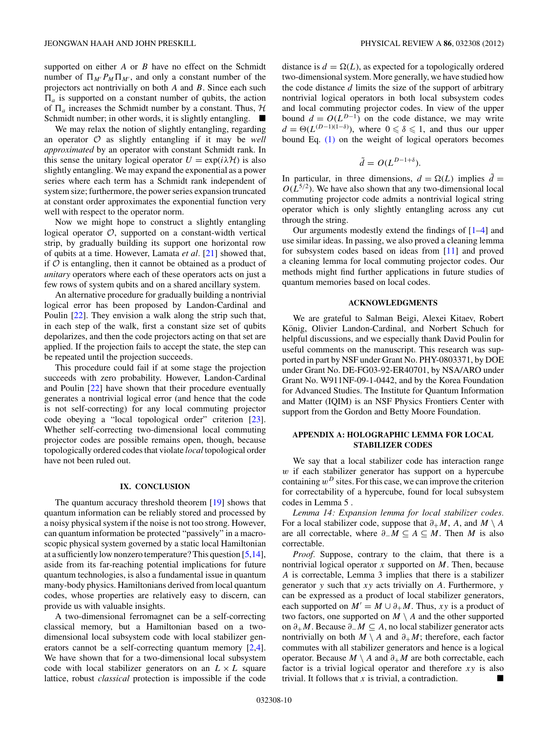<span id="page-9-0"></span>supported on either *A* or *B* have no effect on the Schmidt number of  $\Pi_{M'}P_M\Pi_{M'}$ , and only a constant number of the projectors act nontrivially on both *A* and *B*. Since each such  $\Pi_a$  is supported on a constant number of qubits, the action of  $\Pi_a$  increases the Schmidt number by a constant. Thus,  $H$ Schmidt number; in other words, it is slightly entangling.  $\blacksquare$ 

We may relax the notion of slightly entangling, regarding an operator O as slightly entangling if it may be *well approximated* by an operator with constant Schmidt rank. In this sense the unitary logical operator  $U = \exp(i\lambda \mathcal{H})$  is also slightly entangling. We may expand the exponential as a power series where each term has a Schmidt rank independent of system size; furthermore, the power series expansion truncated at constant order approximates the exponential function very well with respect to the operator norm.

Now we might hope to construct a slightly entangling logical operator  $O$ , supported on a constant-width vertical strip, by gradually building its support one horizontal row of qubits at a time. However, Lamata *et al.* [\[21\]](#page-10-0) showed that, if  $O$  is entangling, then it cannot be obtained as a product of *unitary* operators where each of these operators acts on just a few rows of system qubits and on a shared ancillary system.

An alternative procedure for gradually building a nontrivial logical error has been proposed by Landon-Cardinal and Poulin [\[22\]](#page-10-0). They envision a walk along the strip such that, in each step of the walk, first a constant size set of qubits depolarizes, and then the code projectors acting on that set are applied. If the projection fails to accept the state, the step can be repeated until the projection succeeds.

This procedure could fail if at some stage the projection succeeds with zero probability. However, Landon-Cardinal and Poulin [\[22\]](#page-10-0) have shown that their procedure eventually generates a nontrivial logical error (and hence that the code is not self-correcting) for any local commuting projector code obeying a "local topological order" criterion [\[23\]](#page-10-0). Whether self-correcting two-dimensional local commuting projector codes are possible remains open, though, because topologically ordered codes that violate *local* topological order have not been ruled out.

### **IX. CONCLUSION**

The quantum accuracy threshold theorem [\[19\]](#page-10-0) shows that quantum information can be reliably stored and processed by a noisy physical system if the noise is not too strong. However, can quantum information be protected "passively" in a macroscopic physical system governed by a static local Hamiltonian at a sufficiently low nonzero temperature? This question [\[5,14\]](#page-10-0), aside from its far-reaching potential implications for future quantum technologies, is also a fundamental issue in quantum many-body physics. Hamiltonians derived from local quantum codes, whose properties are relatively easy to discern, can provide us with valuable insights.

A two-dimensional ferromagnet can be a self-correcting classical memory, but a Hamiltonian based on a twodimensional local subsystem code with local stabilizer generators cannot be a self-correcting quantum memory [\[2,4\]](#page-10-0). We have shown that for a two-dimensional local subsystem code with local stabilizer generators on an  $L \times L$  square lattice, robust *classical* protection is impossible if the code distance is  $d = \Omega(L)$ , as expected for a topologically ordered two-dimensional system. More generally, we have studied how the code distance *d* limits the size of the support of arbitrary nontrivial logical operators in both local subsystem codes and local commuting projector codes. In view of the upper bound  $d = O(L^{D-1})$  on the code distance, we may write  $d = \Theta(L^{(D-1)(1-\delta)})$ , where  $0 \le \delta \le 1$ , and thus our upper bound Eq. [\(1\)](#page-0-0) on the weight of logical operators becomes

$$
\tilde{d} = O(L^{D-1+\delta}).
$$

In particular, in three dimensions,  $d = \Omega(L)$  implies  $\tilde{d} =$  $O(L^{5/2})$ . We have also shown that any two-dimensional local commuting projector code admits a nontrivial logical string operator which is only slightly entangling across any cut through the string.

Our arguments modestly extend the findings of [\[1–4\]](#page-10-0) and use similar ideas. In passing, we also proved a cleaning lemma for subsystem codes based on ideas from [\[11\]](#page-10-0) and proved a cleaning lemma for local commuting projector codes. Our methods might find further applications in future studies of quantum memories based on local codes.

#### **ACKNOWLEDGMENTS**

We are grateful to Salman Beigi, Alexei Kitaev, Robert König, Olivier Landon-Cardinal, and Norbert Schuch for helpful discussions, and we especially thank David Poulin for useful comments on the manuscript. This research was supported in part by NSF under Grant No. PHY-0803371, by DOE under Grant No. DE-FG03-92-ER40701, by NSA/ARO under Grant No. W911NF-09-1-0442, and by the Korea Foundation for Advanced Studies. The Institute for Quantum Information and Matter (IQIM) is an NSF Physics Frontiers Center with support from the Gordon and Betty Moore Foundation.

# **APPENDIX A: HOLOGRAPHIC LEMMA FOR LOCAL STABILIZER CODES**

We say that a local stabilizer code has interaction range *w* if each stabilizer generator has support on a hypercube containing  $w^D$  sites. For this case, we can improve the criterion for correctability of a hypercube, found for local subsystem codes in Lemma 5 .

*Lemma 14: Expansion lemma for local stabilizer codes.* For a local stabilizer code, suppose that  $\partial_+ M$ , *A*, and  $M \setminus A$ are all correctable, where  $\partial$ <sup>−</sup> $M \subseteq A \subseteq M$ . Then *M* is also correctable.

*Proof.* Suppose, contrary to the claim, that there is a nontrivial logical operator *x* supported on *M*. Then, because *A* is correctable, Lemma 3 implies that there is a stabilizer generator *y* such that *xy* acts trivially on *A*. Furthermore, *y* can be expressed as a product of local stabilizer generators, each supported on  $M' = M \cup \partial_+ M$ . Thus, *xy* is a product of two factors, one supported on  $M \setminus A$  and the other supported on *∂*+*M*. Because *∂*−*M* ⊆ *A*, no local stabilizer generator acts nontrivially on both  $M \setminus A$  and  $\partial_+M$ ; therefore, each factor commutes with all stabilizer generators and hence is a logical operator. Because  $M \setminus A$  and  $\partial_+ M$  are both correctable, each factor is a trivial logical operator and therefore *xy* is also trivial. It follows that *x* is trivial, a contradiction.